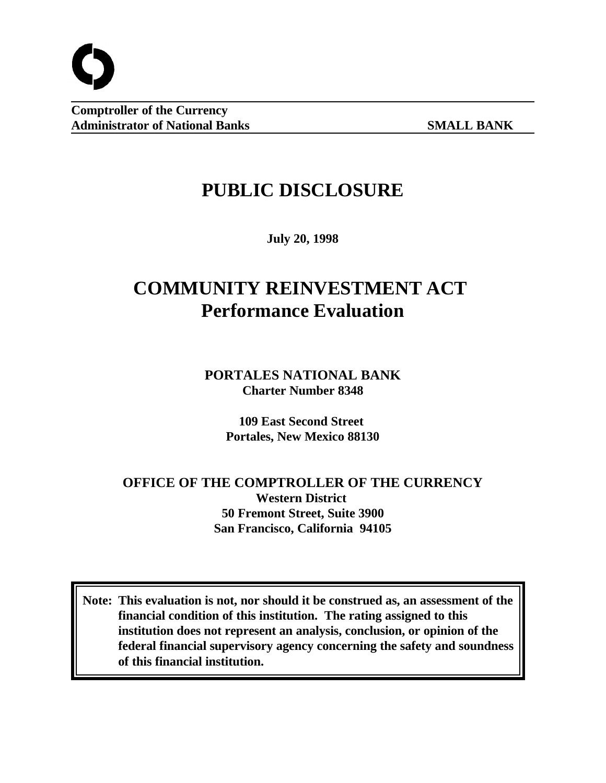

**Comptroller of the Currency Administrator of National Banks SMALL BANK**

# **PUBLIC DISCLOSURE**

**July 20, 1998**

# **COMMUNITY REINVESTMENT ACT Performance Evaluation**

**PORTALES NATIONAL BANK Charter Number 8348**

> **109 East Second Street Portales, New Mexico 88130**

# **OFFICE OF THE COMPTROLLER OF THE CURRENCY Western District 50 Fremont Street, Suite 3900 San Francisco, California 94105**

**Note: This evaluation is not, nor should it be construed as, an assessment of the financial condition of this institution. The rating assigned to this institution does not represent an analysis, conclusion, or opinion of the federal financial supervisory agency concerning the safety and soundness of this financial institution.**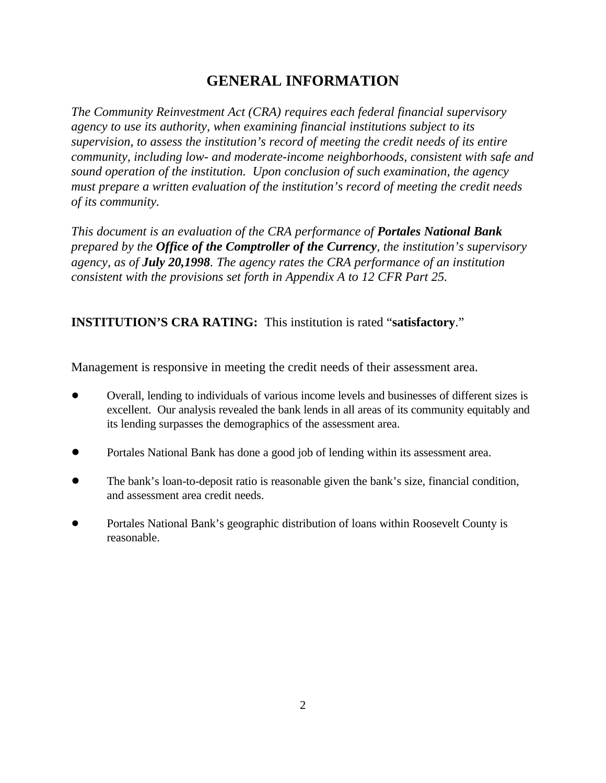# **GENERAL INFORMATION**

*The Community Reinvestment Act (CRA) requires each federal financial supervisory agency to use its authority, when examining financial institutions subject to its supervision, to assess the institution's record of meeting the credit needs of its entire community, including low- and moderate-income neighborhoods, consistent with safe and sound operation of the institution. Upon conclusion of such examination, the agency must prepare a written evaluation of the institution's record of meeting the credit needs of its community.* 

*This document is an evaluation of the CRA performance of Portales National Bank prepared by the Office of the Comptroller of the Currency, the institution's supervisory agency, as of July 20,1998. The agency rates the CRA performance of an institution consistent with the provisions set forth in Appendix A to 12 CFR Part 25.*

## **INSTITUTION'S CRA RATING:** This institution is rated "**satisfactory**."

Management is responsive in meeting the credit needs of their assessment area.

- ! Overall, lending to individuals of various income levels and businesses of different sizes is excellent. Our analysis revealed the bank lends in all areas of its community equitably and its lending surpasses the demographics of the assessment area.
- ! Portales National Bank has done a good job of lending within its assessment area.
- ! The bank's loan-to-deposit ratio is reasonable given the bank's size, financial condition, and assessment area credit needs.
- Portales National Bank's geographic distribution of loans within Roosevelt County is reasonable.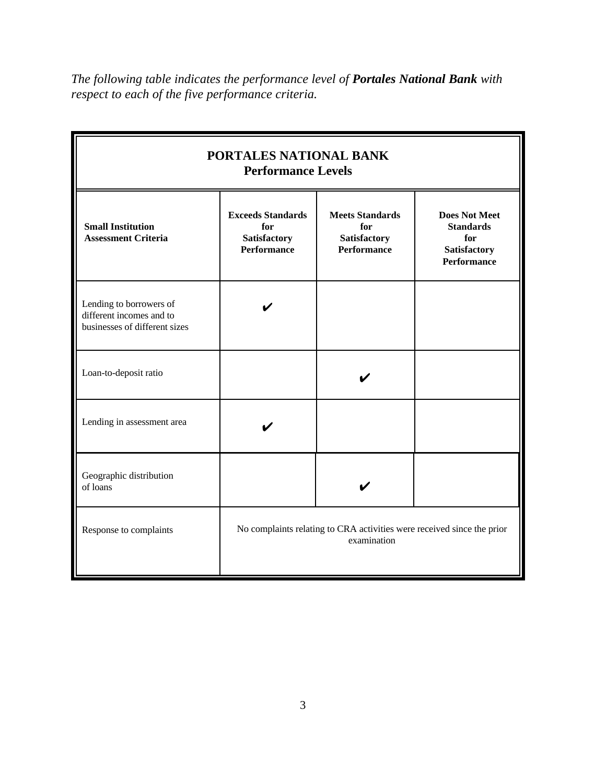*The following table indicates the performance level of Portales National Bank with respect to each of the five performance criteria.*

| PORTALES NATIONAL BANK<br><b>Performance Levels</b>                                  |                                                                                       |                                                                     |                                                                                              |  |  |
|--------------------------------------------------------------------------------------|---------------------------------------------------------------------------------------|---------------------------------------------------------------------|----------------------------------------------------------------------------------------------|--|--|
| <b>Small Institution</b><br><b>Assessment Criteria</b>                               | <b>Exceeds Standards</b><br>for<br>Satisfactory<br><b>Performance</b>                 | <b>Meets Standards</b><br>for<br>Satisfactory<br><b>Performance</b> | <b>Does Not Meet</b><br><b>Standards</b><br>for<br><b>Satisfactory</b><br><b>Performance</b> |  |  |
| Lending to borrowers of<br>different incomes and to<br>businesses of different sizes |                                                                                       |                                                                     |                                                                                              |  |  |
| Loan-to-deposit ratio                                                                |                                                                                       |                                                                     |                                                                                              |  |  |
| Lending in assessment area                                                           |                                                                                       |                                                                     |                                                                                              |  |  |
| Geographic distribution<br>of loans                                                  |                                                                                       |                                                                     |                                                                                              |  |  |
| Response to complaints                                                               | No complaints relating to CRA activities were received since the prior<br>examination |                                                                     |                                                                                              |  |  |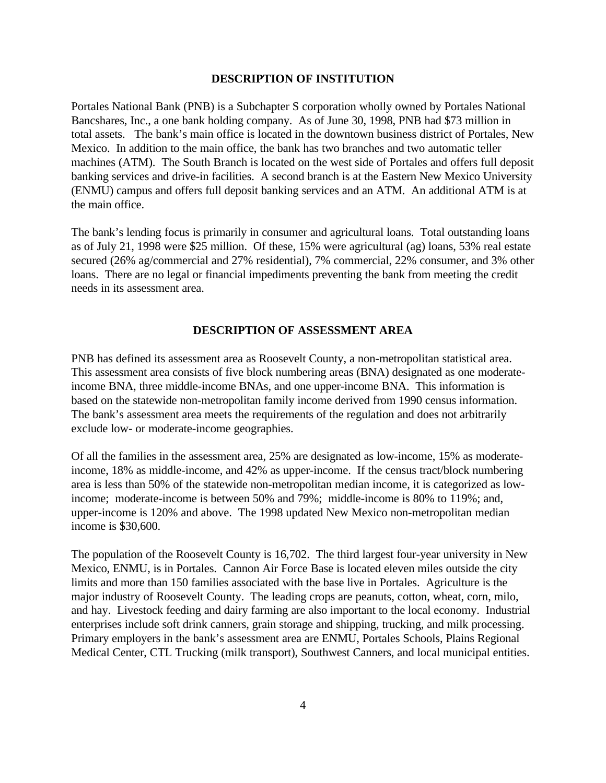#### **DESCRIPTION OF INSTITUTION**

Portales National Bank (PNB) is a Subchapter S corporation wholly owned by Portales National Bancshares, Inc., a one bank holding company. As of June 30, 1998, PNB had \$73 million in total assets. The bank's main office is located in the downtown business district of Portales, New Mexico. In addition to the main office, the bank has two branches and two automatic teller machines (ATM). The South Branch is located on the west side of Portales and offers full deposit banking services and drive-in facilities. A second branch is at the Eastern New Mexico University (ENMU) campus and offers full deposit banking services and an ATM. An additional ATM is at the main office.

The bank's lending focus is primarily in consumer and agricultural loans. Total outstanding loans as of July 21, 1998 were \$25 million. Of these, 15% were agricultural (ag) loans, 53% real estate secured (26% ag/commercial and 27% residential), 7% commercial, 22% consumer, and 3% other loans. There are no legal or financial impediments preventing the bank from meeting the credit needs in its assessment area.

### **DESCRIPTION OF ASSESSMENT AREA**

PNB has defined its assessment area as Roosevelt County, a non-metropolitan statistical area. This assessment area consists of five block numbering areas (BNA) designated as one moderateincome BNA, three middle-income BNAs, and one upper-income BNA. This information is based on the statewide non-metropolitan family income derived from 1990 census information. The bank's assessment area meets the requirements of the regulation and does not arbitrarily exclude low- or moderate-income geographies.

Of all the families in the assessment area, 25% are designated as low-income, 15% as moderateincome, 18% as middle-income, and 42% as upper-income. If the census tract/block numbering area is less than 50% of the statewide non-metropolitan median income, it is categorized as lowincome; moderate-income is between 50% and 79%; middle-income is 80% to 119%; and, upper-income is 120% and above. The 1998 updated New Mexico non-metropolitan median income is \$30,600.

The population of the Roosevelt County is 16,702. The third largest four-year university in New Mexico, ENMU, is in Portales. Cannon Air Force Base is located eleven miles outside the city limits and more than 150 families associated with the base live in Portales. Agriculture is the major industry of Roosevelt County. The leading crops are peanuts, cotton, wheat, corn, milo, and hay. Livestock feeding and dairy farming are also important to the local economy. Industrial enterprises include soft drink canners, grain storage and shipping, trucking, and milk processing. Primary employers in the bank's assessment area are ENMU, Portales Schools, Plains Regional Medical Center, CTL Trucking (milk transport), Southwest Canners, and local municipal entities.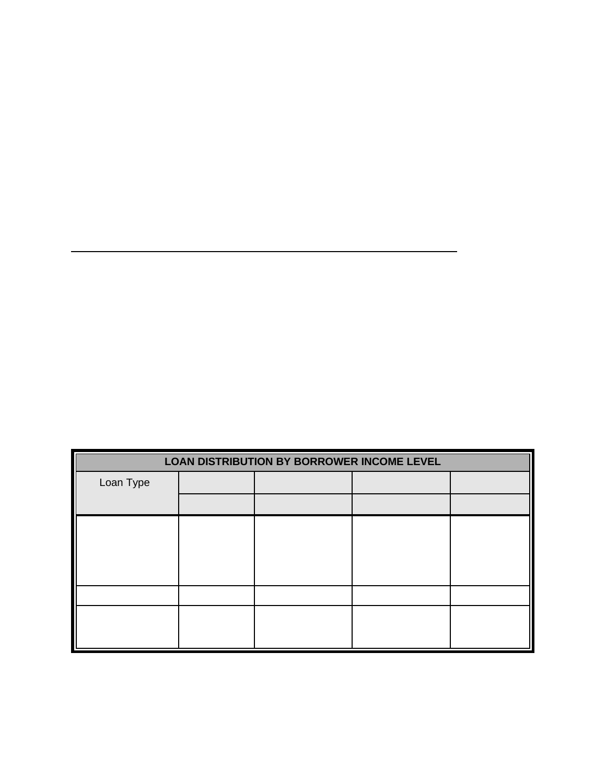| LOAN DISTRIBUTION BY BORROWER INCOME LEVEL |  |  |  |  |
|--------------------------------------------|--|--|--|--|
| Loan Type                                  |  |  |  |  |
|                                            |  |  |  |  |
|                                            |  |  |  |  |
|                                            |  |  |  |  |
|                                            |  |  |  |  |
|                                            |  |  |  |  |
|                                            |  |  |  |  |
|                                            |  |  |  |  |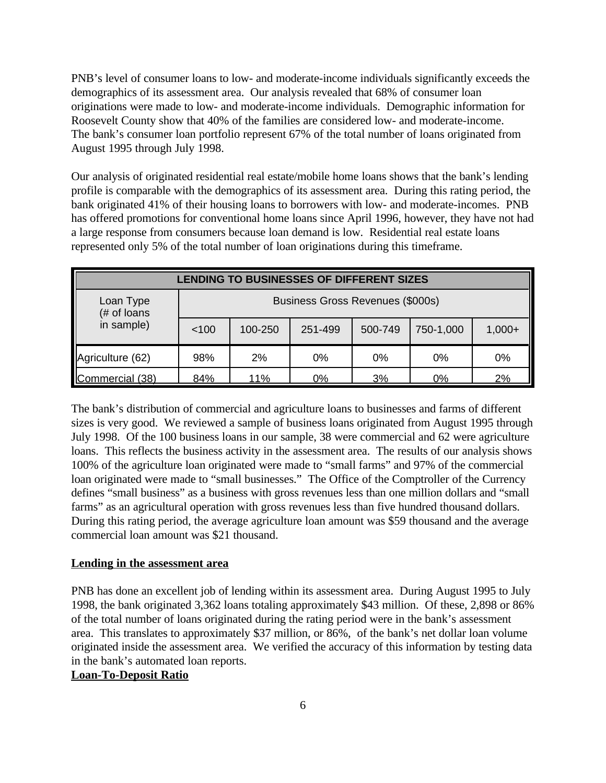PNB's level of consumer loans to low- and moderate-income individuals significantly exceeds the demographics of its assessment area. Our analysis revealed that 68% of consumer loan originations were made to low- and moderate-income individuals. Demographic information for Roosevelt County show that 40% of the families are considered low- and moderate-income. The bank's consumer loan portfolio represent 67% of the total number of loans originated from August 1995 through July 1998.

Our analysis of originated residential real estate/mobile home loans shows that the bank's lending profile is comparable with the demographics of its assessment area. During this rating period, the bank originated 41% of their housing loans to borrowers with low- and moderate-incomes. PNB has offered promotions for conventional home loans since April 1996, however, they have not had a large response from consumers because loan demand is low. Residential real estate loans represented only 5% of the total number of loan originations during this timeframe.

| <b>LENDING TO BUSINESSES OF DIFFERENT SIZES</b> |                                  |         |         |         |           |          |
|-------------------------------------------------|----------------------------------|---------|---------|---------|-----------|----------|
| Loan Type<br>(# of loans                        | Business Gross Revenues (\$000s) |         |         |         |           |          |
| in sample)                                      | 100                              | 100-250 | 251-499 | 500-749 | 750-1,000 | $1,000+$ |
| Agriculture (62)                                | 98%                              | 2%      | 0%      | 0%      | 0%        | 0%       |
| Commercial (38)                                 | 84%                              | 11%     | 0%      | 3%      | 0%        | 2%       |

The bank's distribution of commercial and agriculture loans to businesses and farms of different sizes is very good. We reviewed a sample of business loans originated from August 1995 through July 1998. Of the 100 business loans in our sample, 38 were commercial and 62 were agriculture loans. This reflects the business activity in the assessment area. The results of our analysis shows 100% of the agriculture loan originated were made to "small farms" and 97% of the commercial loan originated were made to "small businesses." The Office of the Comptroller of the Currency defines "small business" as a business with gross revenues less than one million dollars and "small farms" as an agricultural operation with gross revenues less than five hundred thousand dollars. During this rating period, the average agriculture loan amount was \$59 thousand and the average commercial loan amount was \$21 thousand.

### **Lending in the assessment area**

PNB has done an excellent job of lending within its assessment area. During August 1995 to July 1998, the bank originated 3,362 loans totaling approximately \$43 million. Of these, 2,898 or 86% of the total number of loans originated during the rating period were in the bank's assessment area. This translates to approximately \$37 million, or 86%, of the bank's net dollar loan volume originated inside the assessment area. We verified the accuracy of this information by testing data in the bank's automated loan reports.

## **Loan-To-Deposit Ratio**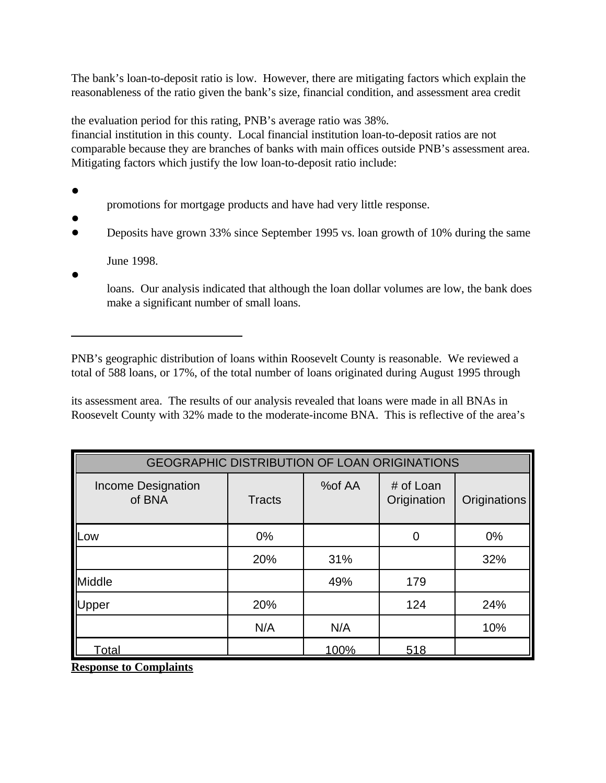The bank's loan-to-deposit ratio is low. However, there are mitigating factors which explain the reasonableness of the ratio given the bank's size, financial condition, and assessment area credit

the evaluation period for this rating, PNB's average ratio was 38%.

financial institution in this county. Local financial institution loan-to-deposit ratios are not comparable because they are branches of banks with main offices outside PNB's assessment area. Mitigating factors which justify the low loan-to-deposit ratio include:

- $\bullet$
- promotions for mortgage products and have had very little response.
- $\bullet$ • Deposits have grown 33% since September 1995 vs. loan growth of 10% during the same
	- June 1998.
- $\bullet$

loans. Our analysis indicated that although the loan dollar volumes are low, the bank does make a significant number of small loans.

PNB's geographic distribution of loans within Roosevelt County is reasonable. We reviewed a total of 588 loans, or 17%, of the total number of loans originated during August 1995 through

its assessment area. The results of our analysis revealed that loans were made in all BNAs in Roosevelt County with 32% made to the moderate-income BNA. This is reflective of the area's

| GEOGRAPHIC DISTRIBUTION OF LOAN ORIGINATIONS |               |        |                          |              |
|----------------------------------------------|---------------|--------|--------------------------|--------------|
| <b>Income Designation</b><br>of BNA          | <b>Tracts</b> | %of AA | # of Loan<br>Origination | Originations |
| <b>ILow</b>                                  | $0\%$         |        | 0                        | $0\%$        |
|                                              | 20%           | 31%    |                          | 32%          |
| Middle                                       |               | 49%    | 179                      |              |
| Upper                                        | 20%           |        | 124                      | 24%          |
|                                              | N/A           | N/A    |                          | 10%          |
| Total                                        |               | 100%   | 518                      |              |

**Response to Complaints**